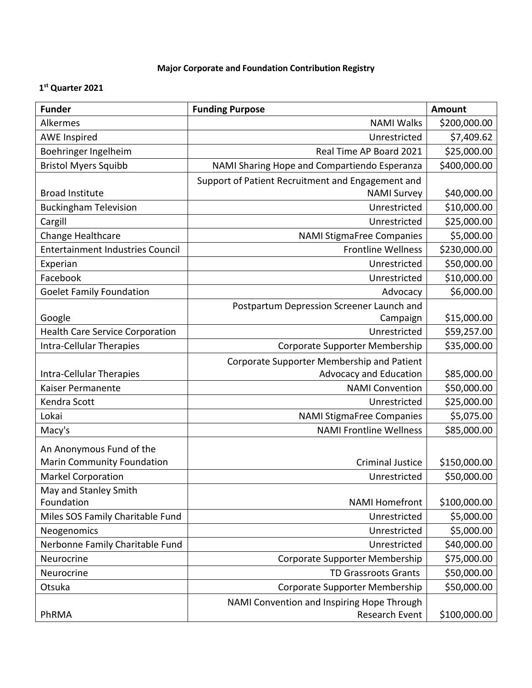## **Major Corporate and Foundation Contribution Registry**

## **1 st Quarter 2021**

| <b>Funder</b>                          | <b>Funding Purpose</b>                            | <b>Amount</b> |
|----------------------------------------|---------------------------------------------------|---------------|
| Alkermes                               | <b>NAMI Walks</b>                                 | \$200,000.00  |
| <b>AWE Inspired</b>                    | Unrestricted                                      | \$7,409.62    |
| Boehringer Ingelheim                   | Real Time AP Board 2021                           | \$25,000.00   |
| <b>Bristol Myers Squibb</b>            | NAMI Sharing Hope and Compartiendo Esperanza      | \$400,000.00  |
|                                        | Support of Patient Recruitment and Engagement and |               |
| <b>Broad Institute</b>                 | <b>NAMI Survey</b>                                | \$40,000.00   |
| <b>Buckingham Television</b>           | Unrestricted                                      | \$10,000.00   |
| Cargill                                | Unrestricted                                      | \$25,000.00   |
| Change Healthcare                      | <b>NAMI StigmaFree Companies</b>                  | \$5,000.00    |
| Entertainment Industries Council       | <b>Frontline Wellness</b>                         | \$230,000.00  |
| Experian                               | Unrestricted                                      | \$50,000.00   |
| Facebook                               | Unrestricted                                      | \$10,000.00   |
| <b>Goelet Family Foundation</b>        | Advocacy                                          | \$6,000.00    |
|                                        | Postpartum Depression Screener Launch and         |               |
| Google                                 | Campaign                                          | \$15,000.00   |
| <b>Health Care Service Corporation</b> | Unrestricted                                      | \$59,257.00   |
| Intra-Cellular Therapies               | Corporate Supporter Membership                    | \$35,000.00   |
|                                        | Corporate Supporter Membership and Patient        |               |
| Intra-Cellular Therapies               | Advocacy and Education                            | \$85,000.00   |
| Kaiser Permanente                      | <b>NAMI Convention</b>                            | \$50,000.00   |
| Kendra Scott                           | Unrestricted                                      | \$25,000.00   |
| Lokai                                  | <b>NAMI StigmaFree Companies</b>                  | \$5,075.00    |
| Macy's                                 | <b>NAMI Frontline Wellness</b>                    | \$85,000.00   |
| An Anonymous Fund of the               |                                                   |               |
| <b>Marin Community Foundation</b>      | <b>Criminal Justice</b>                           | \$150,000.00  |
| <b>Markel Corporation</b>              | Unrestricted                                      | \$50,000.00   |
| May and Stanley Smith                  |                                                   |               |
| Foundation                             | <b>NAMI Homefront</b>                             | \$100,000.00  |
| Miles SOS Family Charitable Fund       | Unrestricted                                      | \$5,000.00    |
| Neogenomics                            | Unrestricted                                      | \$5,000.00    |
| Nerbonne Family Charitable Fund        | Unrestricted                                      | \$40,000.00   |
| Neurocrine                             | Corporate Supporter Membership                    | \$75,000.00   |
| Neurocrine                             | <b>TD Grassroots Grants</b>                       | \$50,000.00   |
| Otsuka                                 | Corporate Supporter Membership                    | \$50,000.00   |
|                                        | NAMI Convention and Inspiring Hope Through        |               |
| PhRMA                                  | <b>Research Event</b>                             | \$100,000.00  |